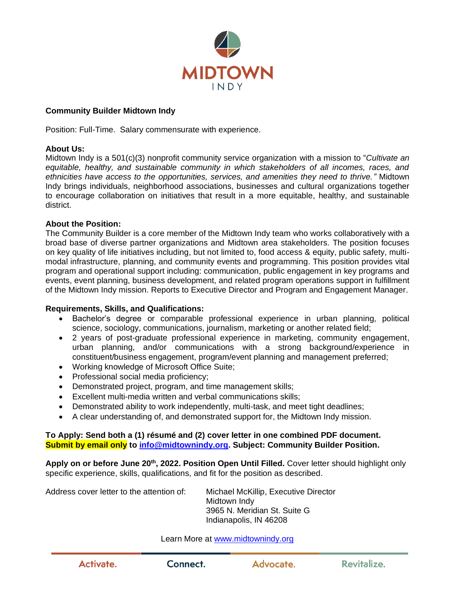

# **Community Builder Midtown Indy**

Position: Full-Time. Salary commensurate with experience.

## **About Us:**

Midtown Indy is a 501(c)(3) nonprofit community service organization with a mission to "*Cultivate an equitable, healthy, and sustainable community in which stakeholders of all incomes, races, and ethnicities have access to the opportunities, services, and amenities they need to thrive."* Midtown Indy brings individuals, neighborhood associations, businesses and cultural organizations together to encourage collaboration on initiatives that result in a more equitable, healthy, and sustainable district.

## **About the Position:**

The Community Builder is a core member of the Midtown Indy team who works collaboratively with a broad base of diverse partner organizations and Midtown area stakeholders. The position focuses on key quality of life initiatives including, but not limited to, food access & equity, public safety, multimodal infrastructure, planning, and community events and programming. This position provides vital program and operational support including: communication, public engagement in key programs and events, event planning, business development, and related program operations support in fulfillment of the Midtown Indy mission. Reports to Executive Director and Program and Engagement Manager.

# **Requirements, Skills, and Qualifications:**

- Bachelor's degree or comparable professional experience in urban planning, political science, sociology, communications, journalism, marketing or another related field;
- 2 years of post-graduate professional experience in marketing, community engagement, urban planning, and/or communications with a strong background/experience in constituent/business engagement, program/event planning and management preferred;
- Working knowledge of Microsoft Office Suite;
- Professional social media proficiency;
- Demonstrated project, program, and time management skills;
- Excellent multi-media written and verbal communications skills;
- Demonstrated ability to work independently, multi-task, and meet tight deadlines;
- A clear understanding of, and demonstrated support for, the Midtown Indy mission.

## **To Apply: Send both a (1) résumé and (2) cover letter in one combined PDF document. Submit by email only to [info@midtownindy.org.](mailto:info@midtownindy.org) Subject: Community Builder Position.**

Apply on or before June 20<sup>th</sup>, 2022. Position Open Until Filled. Cover letter should highlight only specific experience, skills, qualifications, and fit for the position as described.

Address cover letter to the attention of: Michael McKillip, Executive Director Midtown Indy 3965 N. Meridian St. Suite G Indianapolis, IN 46208

Learn More at [www.midtownindy.org](http://www.midtownindy.org/)

Connect.